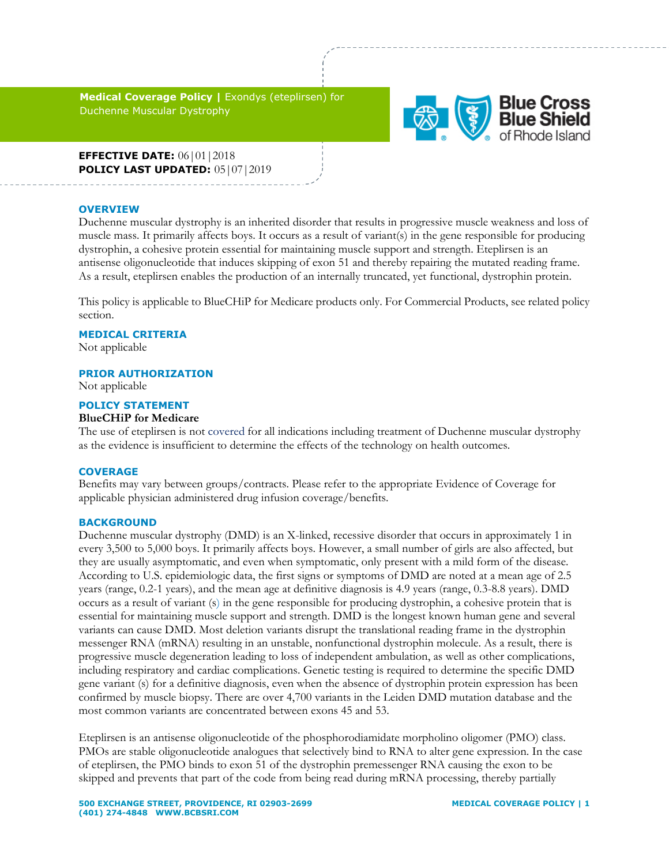**Medical Coverage Policy |** Exondys (eteplirsen) for Duchenne Muscular Dystrophy



**EFFECTIVE DATE:** 06|01|2018 **POLICY LAST UPDATED:** 05|07|2019

#### **OVERVIEW**

Duchenne muscular dystrophy is an inherited disorder that results in progressive muscle weakness and loss of muscle mass. It primarily affects boys. It occurs as a result of variant(s) in the gene responsible for producing dystrophin, a cohesive protein essential for maintaining muscle support and strength. Eteplirsen is an antisense oligonucleotide that induces skipping of exon 51 and thereby repairing the mutated reading frame. As a result, eteplirsen enables the production of an internally truncated, yet functional, dystrophin protein.

This policy is applicable to BlueCHiP for Medicare products only. For Commercial Products, see related policy section.

### **MEDICAL CRITERIA**

Not applicable

### **PRIOR AUTHORIZATION**

Not applicable

### **POLICY STATEMENT**

### **BlueCHiP for Medicare**

The use of eteplirsen is not covered for all indications including treatment of Duchenne muscular dystrophy as the evidence is insufficient to determine the effects of the technology on health outcomes.

### **COVERAGE**

Benefits may vary between groups/contracts. Please refer to the appropriate Evidence of Coverage for applicable physician administered drug infusion coverage/benefits.

### **BACKGROUND**

Duchenne muscular dystrophy (DMD) is an X-linked, recessive disorder that occurs in approximately 1 in every 3,500 to 5,000 boys. It primarily affects boys. However, a small number of girls are also affected, but they are usually asymptomatic, and even when symptomatic, only present with a mild form of the disease. According to U.S. epidemiologic data, the first signs or symptoms of DMD are noted at a mean age of 2.5 years (range, 0.2-1 years), and the mean age at definitive diagnosis is 4.9 years (range, 0.3-8.8 years). DMD occurs as a result of variant (s) in the gene responsible for producing dystrophin, a cohesive protein that is essential for maintaining muscle support and strength. DMD is the longest known human gene and several variants can cause DMD. Most deletion variants disrupt the translational reading frame in the dystrophin messenger RNA (mRNA) resulting in an unstable, nonfunctional dystrophin molecule. As a result, there is progressive muscle degeneration leading to loss of independent ambulation, as well as other complications, including respiratory and cardiac complications. Genetic testing is required to determine the specific DMD gene variant (s) for a definitive diagnosis, even when the absence of dystrophin protein expression has been confirmed by muscle biopsy. There are over 4,700 variants in the Leiden DMD mutation database and the most common variants are concentrated between exons 45 and 53.

Eteplirsen is an antisense oligonucleotide of the phosphorodiamidate morpholino oligomer (PMO) class. PMOs are stable oligonucleotide analogues that selectively bind to RNA to alter gene expression. In the case of eteplirsen, the PMO binds to exon 51 of the dystrophin premessenger RNA causing the exon to be skipped and prevents that part of the code from being read during mRNA processing, thereby partially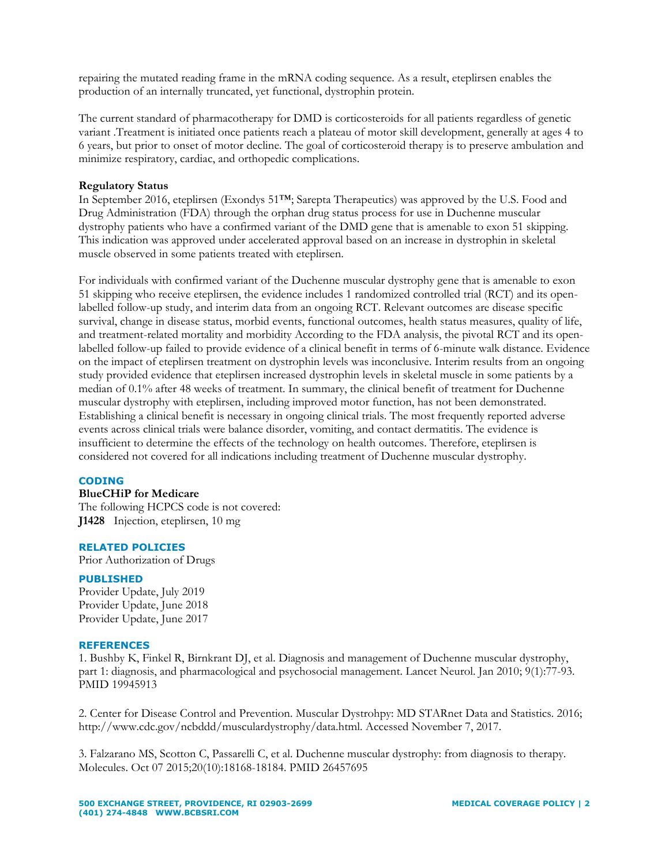repairing the mutated reading frame in the mRNA coding sequence. As a result, eteplirsen enables the production of an internally truncated, yet functional, dystrophin protein.

The current standard of pharmacotherapy for DMD is corticosteroids for all patients regardless of genetic variant .Treatment is initiated once patients reach a plateau of motor skill development, generally at ages 4 to 6 years, but prior to onset of motor decline. The goal of corticosteroid therapy is to preserve ambulation and minimize respiratory, cardiac, and orthopedic complications.

## **Regulatory Status**

In September 2016, eteplirsen (Exondys 51™; Sarepta Therapeutics) was approved by the U.S. Food and Drug Administration (FDA) through the orphan drug status process for use in Duchenne muscular dystrophy patients who have a confirmed variant of the DMD gene that is amenable to exon 51 skipping. This indication was approved under accelerated approval based on an increase in dystrophin in skeletal muscle observed in some patients treated with eteplirsen.

For individuals with confirmed variant of the Duchenne muscular dystrophy gene that is amenable to exon 51 skipping who receive eteplirsen, the evidence includes 1 randomized controlled trial (RCT) and its openlabelled follow-up study, and interim data from an ongoing RCT. Relevant outcomes are disease specific survival, change in disease status, morbid events, functional outcomes, health status measures, quality of life, and treatment-related mortality and morbidity According to the FDA analysis, the pivotal RCT and its openlabelled follow-up failed to provide evidence of a clinical benefit in terms of 6-minute walk distance. Evidence on the impact of eteplirsen treatment on dystrophin levels was inconclusive. Interim results from an ongoing study provided evidence that eteplirsen increased dystrophin levels in skeletal muscle in some patients by a median of 0.1% after 48 weeks of treatment. In summary, the clinical benefit of treatment for Duchenne muscular dystrophy with eteplirsen, including improved motor function, has not been demonstrated. Establishing a clinical benefit is necessary in ongoing clinical trials. The most frequently reported adverse events across clinical trials were balance disorder, vomiting, and contact dermatitis. The evidence is insufficient to determine the effects of the technology on health outcomes. Therefore, eteplirsen is considered not covered for all indications including treatment of Duchenne muscular dystrophy.

## **CODING**

# **BlueCHiP for Medicare**

The following HCPCS code is not covered: **J1428** Injection, eteplirsen, 10 mg

## **RELATED POLICIES**

Prior Authorization of Drugs

## **PUBLISHED**

Provider Update, July 2019 Provider Update, June 2018 Provider Update, June 2017

## **REFERENCES**

1. Bushby K, Finkel R, Birnkrant DJ, et al. Diagnosis and management of Duchenne muscular dystrophy, part 1: diagnosis, and pharmacological and psychosocial management. Lancet Neurol. Jan 2010; 9(1):77-93. PMID 19945913

2. Center for Disease Control and Prevention. Muscular Dystrohpy: MD STARnet Data and Statistics. 2016; http://www.cdc.gov/ncbddd/musculardystrophy/data.html. Accessed November 7, 2017.

3. Falzarano MS, Scotton C, Passarelli C, et al. Duchenne muscular dystrophy: from diagnosis to therapy. Molecules. Oct 07 2015;20(10):18168-18184. PMID 26457695